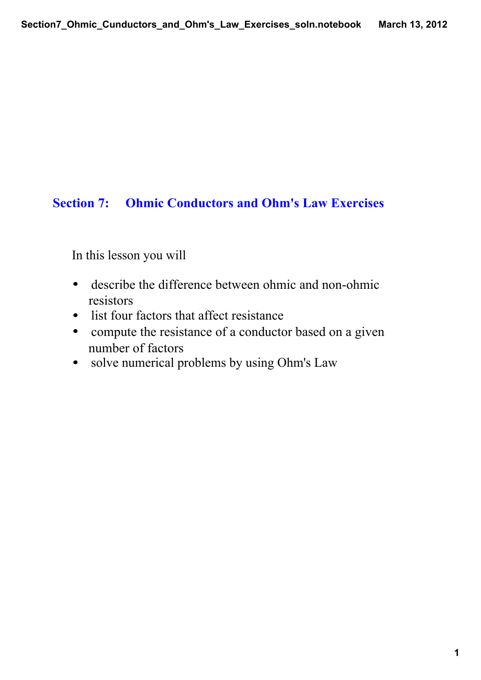## **Section 7: Ohmic Conductors and Ohm's Law Exercises**

In this lesson you will

- $\bullet$ describe the difference between ohmic and non-ohmic resistors
- list four factors that affect resistance
- compute the resistance of a conductor based on a given number of factors
- solve numerical problems by using Ohm's Law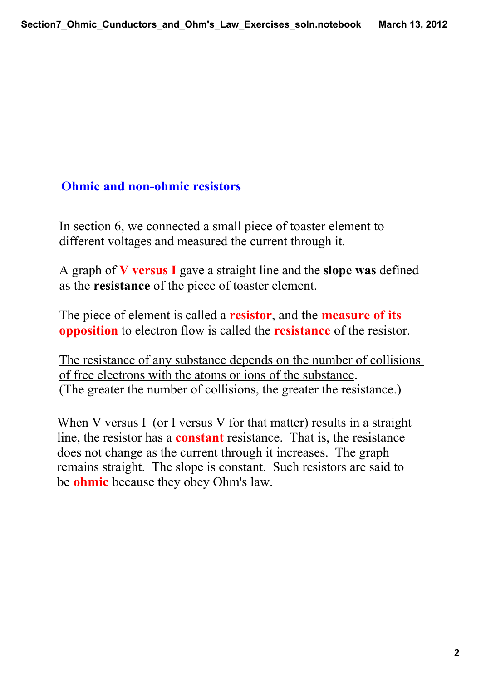## **Ohmic and non-ohmic resistors**

In section 6, we connected a small piece of toaster element to different voltages and measured the current through it.

A graph of **V versus I** gave a straight line and the **slope was** defined as the **resistance** of the piece of toaster element.

The piece of element is called a **resistor**, and the **measure of its opposition** to electron flow is called the **resistance** of the resistor.

The resistance of any substance depends on the number of collisions of free electrons with the atoms or ions of the substance. (The greater the number of collisions, the greater the resistance.)

When V versus I (or I versus V for that matter) results in a straight line, the resistor has a **constant** resistance. That is, the resistance does not change as the current through it increases. The graph remains straight. The slope is constant. Such resistors are said to be **ohmic** because they obey Ohm's law.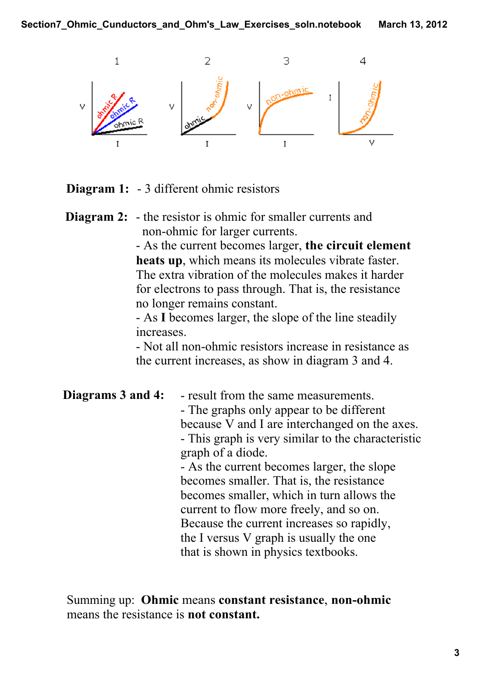

**Diagram 1:** - 3 different ohmic resistors

**Diagram 2:** - the resistor is ohmic for smaller currents and non-ohmic for larger currents.

 As the current becomes larger, **the circuit element heats up**, which means its molecules vibrate faster. The extra vibration of the molecules makes it harder for electrons to pass through. That is, the resistance no longer remains constant.

 As **I** becomes larger, the slope of the line steadily increases.

- Not all non-ohmic resistors increase in resistance as the current increases, as show in diagram 3 and 4.

| Diagrams 3 and 4: | - result from the same measurements.               |
|-------------------|----------------------------------------------------|
|                   | - The graphs only appear to be different           |
|                   | because V and I are interchanged on the axes.      |
|                   | - This graph is very similar to the characteristic |
|                   | graph of a diode.                                  |
|                   | - As the current becomes larger, the slope         |
|                   | becomes smaller. That is, the resistance           |
|                   | becomes smaller, which in turn allows the          |
|                   | current to flow more freely, and so on.            |
|                   | Because the current increases so rapidly,          |
|                   | the I versus V graph is usually the one            |
|                   | that is shown in physics textbooks.                |

Summing up: **Ohmic** means **constant resistance**, **non-ohmic** means the resistance is **not constant.**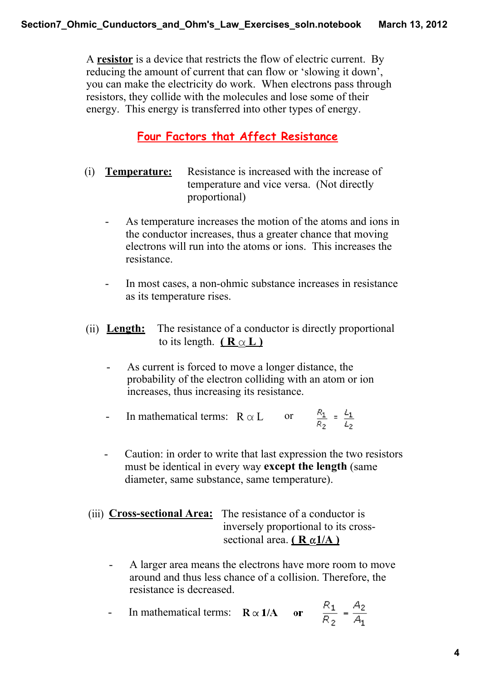A **resistor** is a device that restricts the flow of electric current. By reducing the amount of current that can flow or 'slowing it down', you can make the electricity do work. When electrons pass through resistors, they collide with the molecules and lose some of their energy. This energy is transferred into other types of energy.

## **Four Factors that Affect Resistance**

- (i) **Temperature:** Resistance is increased with the increase of temperature and vice versa. (Not directly proportional)
	- As temperature increases the motion of the atoms and ions in the conductor increases, thus a greater chance that moving electrons will run into the atoms or ions. This increases the resistance.
	- -In most cases, a non-ohmic substance increases in resistance as its temperature rises.
- (ii) **Length:** The resistance of a conductor is directly proportional to its length.  $({\bf R} \propto {\bf L})$ 
	- As current is forced to move a longer distance, the probability of the electron colliding with an atom or ion increases, thus increasing its resistance.
	- In mathematical terms:  $R \propto L$  or  $\frac{R_1}{R_2} = \frac{L_1}{L_2}$
	- $\overline{a}$  Caution: in order to write that last expression the two resistors must be identical in every way **except the length** (same diameter, same substance, same temperature).
- (iii) **Cross-sectional Area:** The resistance of a conductor is inversely proportional to its cross sectional area.  $(R \alpha 1/A)$ 
	- A larger area means the electrons have more room to move around and thus less chance of a collision. Therefore, the resistance is decreased.

- In mathematical terms: 
$$
\mathbf{R} \propto \mathbf{1}/\mathbf{A}
$$
 or  $\frac{R_1}{R_2} = \frac{A_2}{A_1}$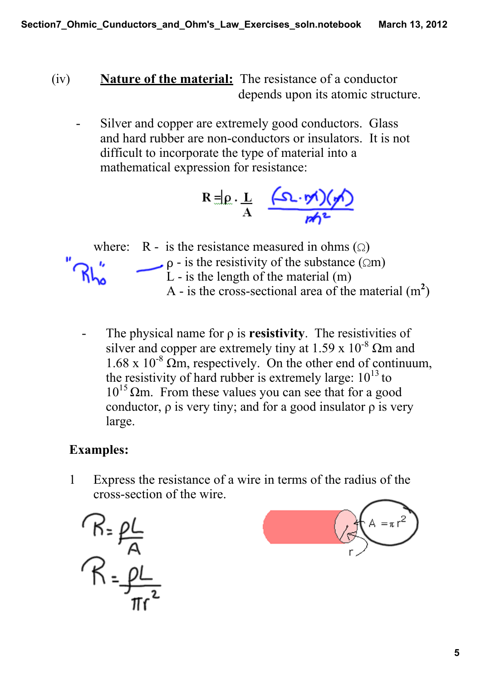- (iv) **Nature of the material:** The resistance of a conductor depends upon its atomic structure.
	- \_ Silver and copper are extremely good conductors. Glass and hard rubber are non-conductors or insulators. It is not difficult to incorporate the type of material into a mathematical expression for resistance:

$$
R = \rho \cdot \frac{L}{A} = \frac{(\Omega \cdot \phi)(\phi)}{\phi h^2}
$$



 The physical name for ρ is **resistivity**. The resistivities of silver and copper are extremely tiny at 1.59 x  $10^{-8}$   $\Omega$ m and  $1.68 \times 10^{-8}$  Qm, respectively. On the other end of continuum, the resistivity of hard rubber is extremely large:  $10^{13}$  to  $10^{15}$  Ωm. From these values you can see that for a good conductor,  $\rho$  is very tiny; and for a good insulator  $\rho$  is very large.

## **Examples:**

1 Express the resistance of a wire in terms of the radius of the crosssection of the wire.



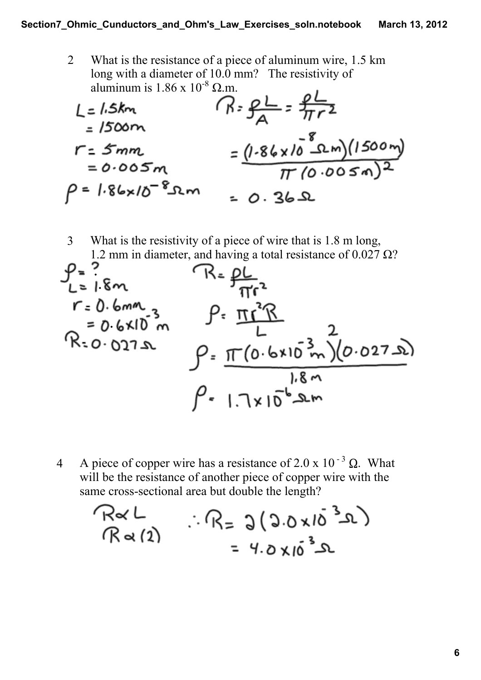2 What is the resistance of a piece of aluminum wire, 1.5 km long with a diameter of 10.0 mm? The resistivity of aluminum is  $1.86 \times 10^{-8} \Omega$ .m.  $\mathbf{r}$ 

$$
L = 1.5km
$$
  
\n $= 1500m$   
\n $r = 5mm$   
\n $= 0.005m$   
\n $P = 1.86 \times 10^{-8} \text{nm}$   
\n $= 0.36 \text{m}$   
\n $= 0.36 \text{m}$   
\n $= 0.36 \text{m}$ 

3 What is the resistivity of a piece of wire that is 1.8 m long, 1.2 mm in diameter, and having a total resistance of  $0.027 \Omega$ ?

$$
\rho = ?
$$
  
\n $r = 0.6$ mm  
\n $r = 0.6$ mm  
\n $R = \rho L$   
\n $\rho = \frac{\pi r^2 R}{L}$   
\n $R = 0.6 \times 10^3 m$   
\n $\rho = \frac{\pi (0.6 \times 10^3 m)(0.027 s)}{1.8 m}$   
\n $\rho = 1.7 \times 10^{-6} s m$ 

4 A piece of copper wire has a resistance of 2.0 x 10<sup>-3</sup>  $\Omega$ . What will be the resistance of another piece of copper wire with the same cross-sectional area but double the length?

$$
R\alpha L
$$
 :: R= 3(3.0x10<sup>3</sup>2)  
R $\alpha$ (2) :: R= 3(3.0x10<sup>3</sup>2)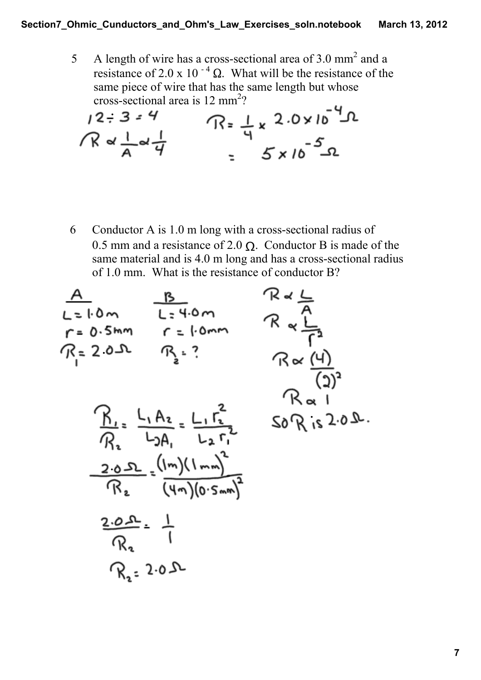5 A length of wire has a cross-sectional area of  $3.0 \text{ mm}^2$  and a resistance of 2.0 x 10<sup>-4</sup>  $\Omega$ . What will be the resistance of the same piece of wire that has the same length but whose cross-sectional area is 12 mm<sup>2</sup>?  $\bullet$ 

$$
12:3=4
$$
  
\n $7.8 \times \frac{1}{4} \times \frac{1}{4}$   
\n $= 5 \times 10^{-5}$   
\n $= 5 \times 10^{-5}$ 

6 Conductor A is  $1.0$  m long with a cross-sectional radius of 0.5 mm and a resistance of 2.0  $\Omega$ . Conductor B is made of the same material and is  $4.0 \text{ m}$  long and has a cross-sectional radius of 1.0 mm. What is the resistance of conductor B?

$$
\frac{A}{L=1.0m} \frac{B}{L=4.0m} \frac{R \times L}{R \times R}
$$
\n
$$
r = 0.5mn \quad r = 1.0mn \quad R \times \frac{L}{R}
$$
\n
$$
R \times \frac{L}{R}
$$
\n
$$
R \times \frac{L}{R}
$$
\n
$$
R \times \frac{L}{R}
$$
\n
$$
R \times \frac{L}{R}
$$
\n
$$
R \times \frac{L}{R}
$$
\n
$$
R \times \frac{L}{R}
$$
\n
$$
R \times \frac{L}{R}
$$
\n
$$
R \times \frac{L}{R}
$$
\n
$$
R \times \frac{L}{R}
$$
\n
$$
R \times \frac{L}{R}
$$
\n
$$
R \times \frac{L}{R}
$$
\n
$$
R \times \frac{L}{R}
$$
\n
$$
R \times \frac{L}{R}
$$
\n
$$
R \times \frac{L}{R}
$$
\n
$$
R \times \frac{L}{R}
$$
\n
$$
R \times \frac{L}{R}
$$
\n
$$
R \times \frac{L}{R}
$$
\n
$$
R \times \frac{L}{R}
$$
\n
$$
R \times \frac{L}{R}
$$
\n
$$
R \times \frac{L}{R}
$$
\n
$$
R \times \frac{L}{R}
$$
\n
$$
R \times \frac{L}{R}
$$
\n
$$
R \times \frac{L}{R}
$$
\n
$$
R \times \frac{L}{R}
$$
\n
$$
R \times \frac{L}{R}
$$
\n
$$
R \times \frac{L}{R}
$$
\n
$$
R \times \frac{L}{R}
$$
\n
$$
R \times \frac{L}{R}
$$
\n
$$
R \times \frac{L}{R}
$$
\n
$$
R \times \frac{L}{R}
$$
\n
$$
R \times \frac{L}{R}
$$
\n
$$
R \times \frac{L}{R}
$$
\n
$$
R \times \frac{L}{R}
$$
\n
$$
R \times \frac{L}{R}
$$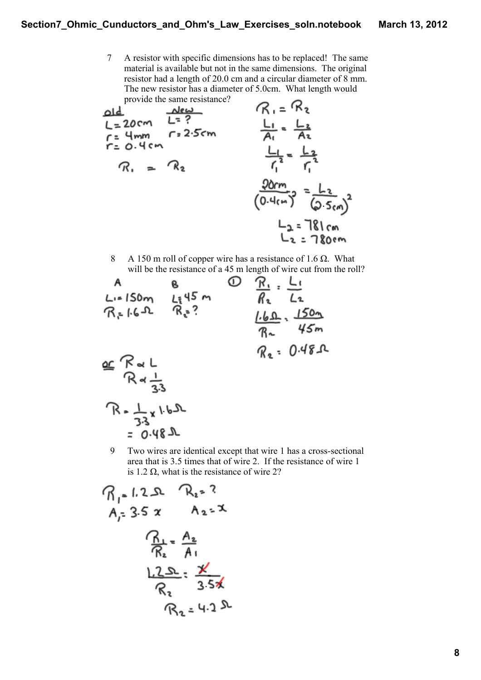7 A resistor with specific dimensions has to be replaced! The same material is available but not in the same dimensions. The original resistor had a length of 20.0 cm and a circular diameter of 8 mm. The new resistor has a diameter of 5.0cm. What length would provide the same resistance?

| old                    | New                                         | R <sub>1</sub> = $Re$         |
|------------------------|---------------------------------------------|-------------------------------|
| $L = 20cm$             | $L = ?$                                     | $L_{1} = \frac{L_{2}}{A_{2}}$ |
| $r = 0.4cm$            | $L_{1} = \frac{L_{2}}{A_{2}}$               |                               |
| $R_{1} = 0.4cm$        | $\frac{L_{1}}{A_{1}} = \frac{L_{2}}{A_{2}}$ |                               |
| $R_{1} = 0.4cm$        | $\frac{L_{1}}{A_{1}} = \frac{L_{2}}{A_{2}}$ |                               |
| $\frac{Q0rm}{(0.4cm)}$ | $= \frac{L_{2}}{Q_{5cm}}$                   |                               |
| $L_{2} = 181cm$        |                                             |                               |
| $L_{3} = 181cm$        |                                             |                               |

8 A 150 m roll of copper wire has a resistance of 1.6  $\Omega$ . What will be the resistance of a 45 m length of wire cut from the roll?

A  
\nL:=150m  
\nR:1.6-2 R:3  
\n
$$
R = 0.48-1
$$
  
\nB  
\n $R = 0.48-1$   
\nR  
\n $R = 0.48-1$   
\nC  
\n $R = 0.48-1$   
\nD  
\n $R = 0.48-1$   
\nE  
\n $R = 1.50m$   
\n $R = 1.50m$   
\n $R = 1.50m$   
\n $R = 1.50m$   
\nR  
\n $R = 1.50m$   
\nR  
\n $R = 1.50m$   
\nR  
\n $R = 1.50m$   
\nR  
\n $R = 1.50m$   
\nR  
\n $R = 1.50m$   
\nR  
\n $R = 1.50m$   
\nR  
\n $R = 0.48-1$ 

9 Two wires are identical except that wire 1 has a cross-sectional area that is 3.5 times that of wire 2. If the resistance of wire 1 is 1.2  $\Omega$ , what is the resistance of wire 2?

$$
R_{1} = 1.2 \text{ R}_{2} = ?
$$
  
\n $A_{1} = 3.5 \text{ x } A_{2} = \text{ X}$   
\n $R_{2} = \frac{A_{2}}{A_{1}}$   
\n $\frac{1.2 \text{ S}}{R_{2}} = \frac{\text{X}}{3.5 \text{ X}}$   
\n $R_{2} = 4.2 \text{ A}$